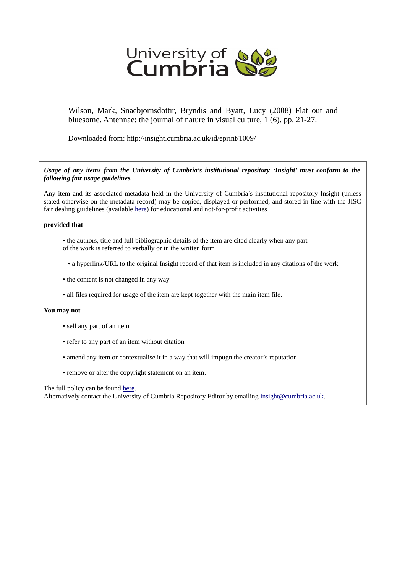

Wilson, Mark, Snaebjornsdottir, Bryndis and Byatt, Lucy (2008) Flat out and bluesome. Antennae: the journal of nature in visual culture, 1 (6). pp. 21-27.

Downloaded from: http://insight.cumbria.ac.uk/id/eprint/1009/

*Usage of any items from the University of Cumbria's institutional repository 'Insight' must conform to the following fair usage guidelines.*

Any item and its associated metadata held in the University of Cumbria's institutional repository Insight (unless stated otherwise on the metadata record) may be copied, displayed or performed, and stored in line with the JISC fair dealing guidelines (available [here\)](http://www.ukoln.ac.uk/services/elib/papers/pa/fair/) for educational and not-for-profit activities

## **provided that**

- the authors, title and full bibliographic details of the item are cited clearly when any part of the work is referred to verbally or in the written form
	- a hyperlink/URL to the original Insight record of that item is included in any citations of the work
- the content is not changed in any way
- all files required for usage of the item are kept together with the main item file.

## **You may not**

- sell any part of an item
- refer to any part of an item without citation
- amend any item or contextualise it in a way that will impugn the creator's reputation
- remove or alter the copyright statement on an item.

The full policy can be found [here.](http://insight.cumbria.ac.uk/legal.html#section5)

Alternatively contact the University of Cumbria Repository Editor by emailing [insight@cumbria.ac.uk.](mailto:insight@cumbria.ac.uk)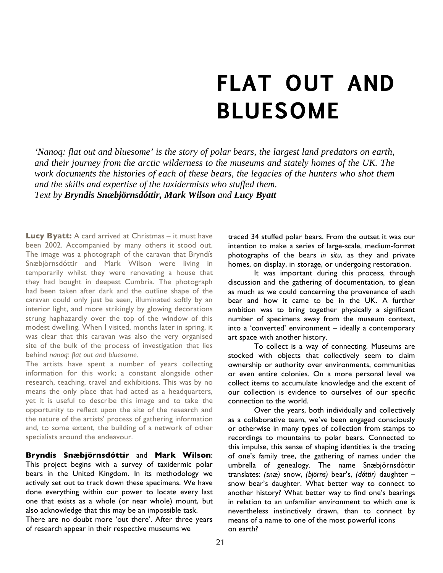## **FLAT OUT AND BLUESOME**

*'Nanoq: flat out and bluesome' is the story of polar bears, the largest land predators on earth, and their journey from the arctic wilderness to the museums and stately homes of the UK. The work documents the histories of each of these bears, the legacies of the hunters who shot them and the skills and expertise of the taxidermists who stuffed them. Text by Bryndis Snæbjörnsdóttir, Mark Wilson and Lucy Byatt*

**Lucy Byatt:** A card arrived at Christmas – it must have been 2002. Accompanied by many others it stood out. The image was a photograph of the caravan that Bryndís Snæbjörnsdóttir and Mark Wilson were living in temporarily whilst they were renovating a house that they had bought in deepest Cumbria. The photograph had been taken after dark and the outline shape of the caravan could only just be seen, illuminated softly by an interior light, and more strikingly by glowing decorations strung haphazardly over the top of the window of this modest dwelling. When I visited, months later in spring, it was clear that this caravan was also the very organised site of the bulk of the process of investigation that lies behind *nanoq: flat out and bluesome.* 

The artists have spent a number of years collecting information for this work; a constant alongside other research, teaching, travel and exhibitions. This was by no means the only place that had acted as a headquarters, yet it is useful to describe this image and to take the opportunity to reflect upon the site of the research and the nature of the artists' process of gathering information and, to some extent, the building of a network of other specialists around the endeavour.

**Bryndis Snæbjörnsdóttir** and **Mark Wilson**: This project begins with a survey of taxidermic polar bears in the United Kingdom. In its methodology we actively set out to track down these specimens. We have done everything within our power to locate every last one that exists as a whole (or near whole) mount, but also acknowledge that this may be an impossible task.

There are no doubt more 'out there'. After three years of research appear in their respective museums we

traced 34 stuffed polar bears. From the outset it was our intention to make a series of large-scale, medium-format photographs of the bears *in situ*, as they and private homes, on display, in storage, or undergoing restoration.

 It was important during this process, through discussion and the gathering of documentation, to glean as much as we could concerning the provenance of each bear and how it came to be in the UK. A further ambition was to bring together physically a significant number of specimens away from the museum context, into a 'converted' environment – ideally a contemporary art space with another history.

 To collect is a way of connecting. Museums are stocked with objects that collectively seem to claim ownership or authority over environments, communities or even entire colonies. On a more personal level we collect items to accumulate knowledge and the extent of our collection is evidence to ourselves of our specific connection to the world.

 Over the years, both individually and collectively as a collaborative team, we've been engaged consciously or otherwise in many types of collection from stamps to recordings to mountains to polar bears. Connected to this impulse, this sense of shaping identities is the tracing of one's family tree, the gathering of names under the umbrella of genealogy. The name Snæbjörnsdóttir translates: *(snæ)* snow, *(björns)* bear's, *(dóttir)* daughter – snow bear's daughter. What better way to connect to another history? What better way to find one's bearings in relation to an unfamiliar environment to which one is nevertheless instinctively drawn, than to connect by means of a name to one of the most powerful icons on earth?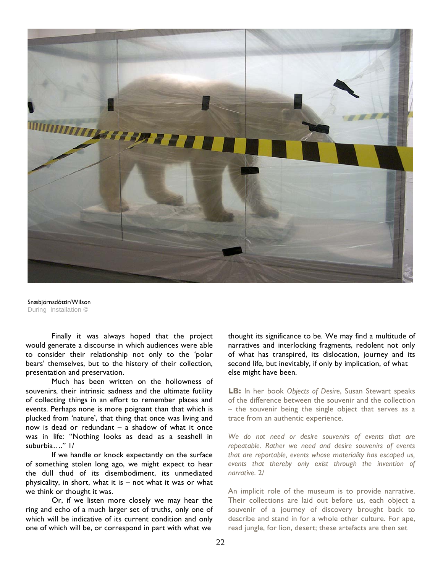

Snæbjörnsdóttir/Wilson During Installation ©

 Finally it was always hoped that the project would generate a discourse in which audiences were able to consider their relationship not only to the 'polar bears' themselves, but to the history of their collection, presentation and preservation.

 Much has been written on the hollowness of souvenirs, their intrinsic sadness and the ultimate futility of collecting things in an effort to remember places and events. Perhaps none is more poignant than that which is plucked from 'nature', that thing that once was living and now is dead or redundant – a shadow of what it once was in life: "Nothing looks as dead as a seashell in suburbia…." 1/

 If we handle or knock expectantly on the surface of something stolen long ago, we might expect to hear the dull thud of its disembodiment, its unmediated physicality, in short, what it is – not what it was or what we think or thought it was.

 Or, if we listen more closely we may hear the ring and echo of a much larger set of truths, only one of which will be indicative of its current condition and only one of which will be, or correspond in part with what we

thought its significance to be. We may find a multitude of narratives and interlocking fragments, redolent not only of what has transpired, its dislocation, journey and its second life, but inevitably, if only by implication, of what else might have been.

**LB:** In her book *Objects of Desire*, Susan Stewart speaks of the difference between the souvenir and the collection – the souvenir being the single object that serves as a trace from an authentic experience.

*We do not need or desire souvenirs of events that are repeatable. Rather we need and desire souvenirs of events that are reportable, events whose materiality has escaped us, events that thereby only exist through the invention of narrative.* 2/

An implicit role of the museum is to provide narrative. Their collections are laid out before us, each object a souvenir of a journey of discovery brought back to describe and stand in for a whole other culture. For ape, read jungle, for lion, desert; these artefacts are then set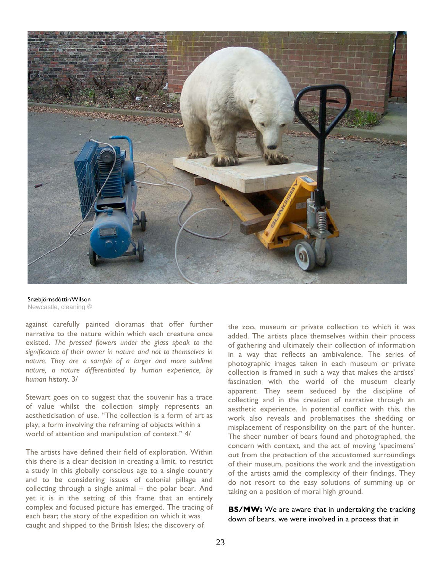

Snæbjörnsdóttir/Wilson Newcastle, cleaning

against carefully painted dioramas that offer further narrative to the nature within which each creature once existed. *The pressed flowers under the glass speak to the significance of their owner in nature and not to themselves in nature. They are a sample of a larger and more sublime nature, a nature differentiated by human experience, by human history.* 3/

Stewart goes on to suggest that the souvenir has a trace of value whilst the collection simply represents an aestheticisation of use. "The collection is a form of art as play, a form involving the reframing of objects within a world of attention and manipulation of context." 4/

The artists have defined their field of exploration. Within this there is a clear decision in creating a limit, to restrict a study in this globally conscious age to a single country and to be considering issues of colonial pillage and collecting through a single animal – the polar bear. And yet it is in the setting of this frame that an entirely complex and focused picture has emerged. The tracing of each bear; the story of the expedition on which it was caught and shipped to the British Isles; the discovery of

the zoo, museum or private collection to which it was added. The artists place themselves within their process of gathering and ultimately their collection of information in a way that reflects an ambivalence. The series of photographic images taken in each museum or private collection is framed in such a way that makes the artists' fascination with the world of the museum clearly apparent. They seem seduced by the discipline of collecting and in the creation of narrative through an aesthetic experience. In potential conflict with this, the work also reveals and problematises the shedding or misplacement of responsibility on the part of the hunter. The sheer number of bears found and photographed, the concern with context, and the act of moving 'specimens' out from the protection of the accustomed surroundings of their museum, positions the work and the investigation of the artists amid the complexity of their findings. They do not resort to the easy solutions of summing up or taking on a position of moral high ground.

**BS/MW:** We are aware that in undertaking the tracking down of bears, we were involved in a process that in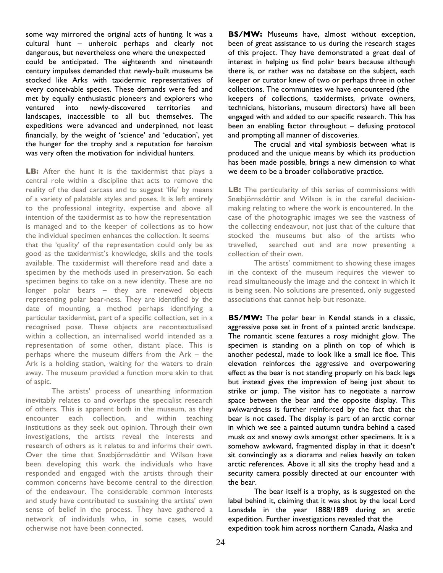some way mirrored the original acts of hunting. It was a cultural hunt – unheroic perhaps and clearly not dangerous, but nevertheless one where the unexpected could be anticipated. The eighteenth and nineteenth century impulses demanded that newly-built museums be stocked like Arks with taxidermic representatives of every conceivable species. These demands were fed and met by equally enthusiastic pioneers and explorers who ventured into newly-discovered territories and landscapes, inaccessible to all but themselves. The expeditions were advanced and underpinned, not least financially, by the weight of 'science' and 'education', yet the hunger for the trophy and a reputation for heroism was very often the motivation for individual hunters.

**LB:** After the hunt it is the taxidermist that plays a central role within a discipline that acts to remove the reality of the dead carcass and to suggest 'life' by means of a variety of palatable styles and poses. It is left entirely to the professional integrity, expertise and above all intention of the taxidermist as to how the representation is managed and to the keeper of collections as to how the individual specimen enhances the collection. It seems that the 'quality' of the representation could only be as good as the taxidermist's knowledge, skills and the tools available. The taxidermist will therefore read and date a specimen by the methods used in preservation. So each specimen begins to take on a new identity. These are no longer polar bears – they are renewed objects representing polar bear-ness. They are identified by the date of mounting, a method perhaps identifying a particular taxidermist, part of a specific collection, set in a recognised pose. These objects are recontextualised within a collection, an internalised world intended as a representation of some other, distant place. This is perhaps where the museum differs from the Ark – the Ark is a holding station, waiting for the waters to drain away. The museum provided a function more akin to that of aspic.

 The artists' process of unearthing information inevitably relates to and overlaps the specialist research of others. This is apparent both in the museum, as they encounter each collection, and within teaching institutions as they seek out opinion. Through their own investigations, the artists reveal the interests and research of others as it relates to and informs their own. Over the time that Snæbjörnsdóttir and Wilson have been developing this work the individuals who have responded and engaged with the artists through their common concerns have become central to the direction of the endeavour. The considerable common interests and study have contributed to sustaining the artists' own sense of belief in the process. They have gathered a network of individuals who, in some cases, would otherwise not have been connected.

**BS/MW:** Museums have, almost without exception, been of great assistance to us during the research stages of this project. They have demonstrated a great deal of interest in helping us find polar bears because although there is, or rather was no database on the subject, each keeper or curator knew of two or perhaps three in other collections. The communities we have encountered (the keepers of collections, taxidermists, private owners, technicians, historians, museum directors) have all been engaged with and added to our specific research. This has been an enabling factor throughout – defusing protocol and prompting all manner of discoveries.

 The crucial and vital symbiosis between what is produced and the unique means by which its production has been made possible, brings a new dimension to what we deem to be a broader collaborative practice.

**LB:** The particularity of this series of commissions with Snæbjörnsdóttir and Wilson is in the careful decisionmaking relating to where the work is encountered. In the case of the photographic images we see the vastness of the collecting endeavour, not just that of the culture that stocked the museums but also of the artists who travelled, searched out and are now presenting a collection of their own.

 The artists' commitment to showing these images in the context of the museum requires the viewer to read simultaneously the image and the context in which it is being seen. No solutions are presented, only suggested associations that cannot help but resonate.

**BS/MW:** The polar bear in Kendal stands in a classic, aggressive pose set in front of a painted arctic landscape. The romantic scene features a rosy midnight glow. The specimen is standing on a plinth on top of which is another pedestal, made to look like a small ice floe. This elevation reinforces the aggressive and overpowering effect as the bear is not standing properly on his back legs but instead gives the impression of being just about to strike or jump. The visitor has to negotiate a narrow space between the bear and the opposite display. This awkwardness is further reinforced by the fact that the bear is not cased. The display is part of an arctic corner in which we see a painted autumn tundra behind a cased musk ox and snowy owls amongst other specimens. It is a somehow awkward, fragmented display in that it doesn't sit convincingly as a diorama and relies heavily on token arctic references. Above it all sits the trophy head and a security camera possibly directed at our encounter with the bear.

 The bear itself is a trophy, as is suggested on the label behind it, claiming that it was shot by the local Lord Lonsdale in the year 1888/1889 during an arctic expedition. Further investigations revealed that the expedition took him across northern Canada, Alaska and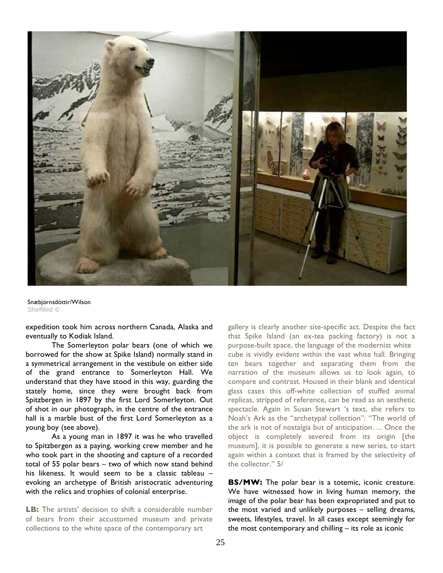

Snæbjörnsdóttir/Wilson Sheffiled ©

expedition took him across northern Canada, Alaska and eventually to Kodiak Island.

 The Somerleyton polar bears (one of which we borrowed for the show at Spike Island) normally stand in a symmetrical arrangement in the vestibule on either side of the grand entrance to Somerleyton Hall. We understand that they have stood in this way, guarding the stately home, since they were brought back from Spitzbergen in 1897 by the first Lord Somerleyton. Out of shot in our photograph, in the centre of the entrance hall is a marble bust of the first Lord Somerleyton as a young boy (see above).

 As a young man in 1897 it was he who travelled to Spitzbergen as a paying, working crew member and he who took part in the shooting and capture of a recorded total of 55 polar bears – two of which now stand behind his likeness. It would seem to be a classic tableau – evoking an archetype of British aristocratic adventuring with the relics and trophies of colonial enterprise.

**LB:** The artists' decision to shift a considerable number of bears from their accustomed museum and private collections to the white space of the contemporary art

gallery is clearly another site-specific act. Despite the fact that Spike Island (an ex-tea packing factory) is not a purpose-built space, the language of the modernist white cube is vividly evident within the vast white hall. Bringing ten bears together and separating them from the narration of the museum allows us to look again, to compare and contrast. Housed in their blank and identical glass cases this off-white collection of stuffed animal replicas, stripped of reference, can be read as an aesthetic spectacle. Again in Susan Stewart 's text, she refers to Noah's Ark as the "archetypal collection": "The world of the ark is not of nostalgia but of anticipation…. Once the object is completely severed from its origin [the museum], it is possible to generate a new series, to start again within a context that is framed by the selectivity of the collector." 5/

**BS/MW:** The polar bear is a totemic, iconic creature. We have witnessed how in living human memory, the image of the polar bear has been expropriated and put to the most varied and unlikely purposes – selling dreams, sweets, lifestyles, travel. In all cases except seemingly for the most contemporary and chilling – its role as iconic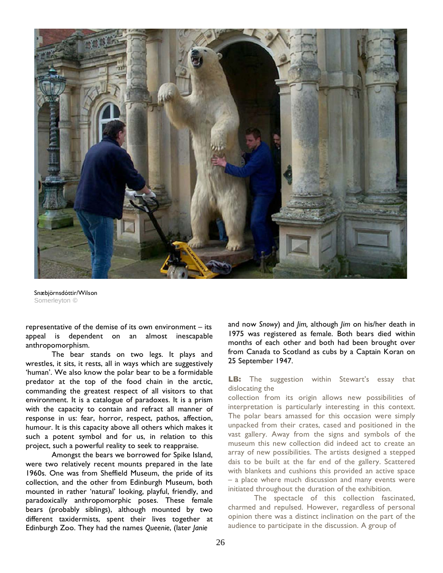

Snæbjörnsdóttir/Wilson Somerleyton ©

representative of the demise of its own environment – its appeal is dependent on an almost inescapable anthropomorphism.

 The bear stands on two legs. It plays and wrestles, it sits, it rests, all in ways which are suggestively 'human'. We also know the polar bear to be a formidable predator at the top of the food chain in the arctic, commanding the greatest respect of all visitors to that environment. It is a catalogue of paradoxes. It is a prism with the capacity to contain and refract all manner of response in us: fear, horror, respect, pathos, affection, humour. It is this capacity above all others which makes it such a potent symbol and for us, in relation to this project, such a powerful reality to seek to reappraise.

 Amongst the bears we borrowed for Spike Island, were two relatively recent mounts prepared in the late 1960s. One was from Sheffield Museum, the pride of its collection, and the other from Edinburgh Museum, both mounted in rather 'natural' looking, playful, friendly, and paradoxically anthropomorphic poses. These female bears (probably siblings), although mounted by two different taxidermists, spent their lives together at Edinburgh Zoo. They had the names *Queenie*, (later *Janie* 

and now *Snowy*) and *Jim,* although *Jim* on his/her death in 1975 was registered as female. Both bears died within months of each other and both had been brought over from Canada to Scotland as cubs by a Captain Koran on 25 September 1947.

**LB:** The suggestion within Stewart's essay that dislocating the

collection from its origin allows new possibilities of interpretation is particularly interesting in this context. The polar bears amassed for this occasion were simply unpacked from their crates, cased and positioned in the vast gallery. Away from the signs and symbols of the museum this new collection did indeed act to create an array of new possibilities. The artists designed a stepped dais to be built at the far end of the gallery. Scattered with blankets and cushions this provided an active space – a place where much discussion and many events were initiated throughout the duration of the exhibition.

 The spectacle of this collection fascinated, charmed and repulsed. However, regardless of personal opinion there was a distinct inclination on the part of the audience to participate in the discussion. A group of